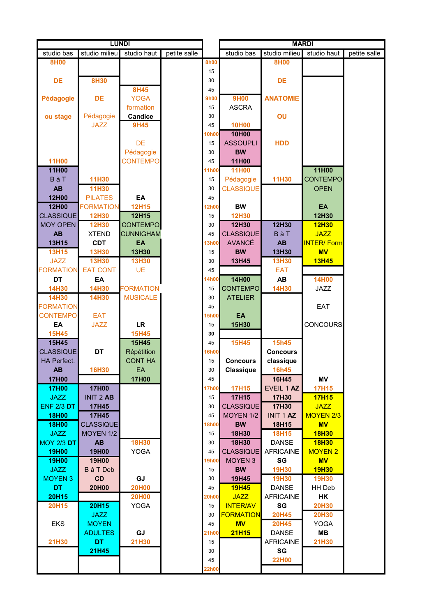| <b>LUNDI</b>      |                  |                  |              |              |                  |                  |                   |              |
|-------------------|------------------|------------------|--------------|--------------|------------------|------------------|-------------------|--------------|
| studio bas        | studio milieu    | studio haut      | petite salle |              | studio bas       | studio milieu    | studio haut       | petite salle |
| 8H00              |                  |                  |              | <b>8h00</b>  |                  | <b>8H00</b>      |                   |              |
|                   |                  |                  |              | 15           |                  |                  |                   |              |
| DE                | <b>8H30</b>      |                  |              | 30           |                  | DE               |                   |              |
|                   |                  | 8H45             |              | 45           |                  |                  |                   |              |
| Pédagogie         | <b>DE</b>        | <b>YOGA</b>      |              | <b>9h00</b>  | <b>9H00</b>      | <b>ANATOMIE</b>  |                   |              |
|                   |                  | formation        |              | 15           | <b>ASCRA</b>     |                  |                   |              |
| ou stage          | Pédagogie        | <b>Candice</b>   |              | 30           |                  | OU               |                   |              |
|                   | <b>JAZZ</b>      | <b>9H45</b>      |              | 45           | <b>10H00</b>     |                  |                   |              |
|                   |                  |                  |              | <b>10h00</b> | 10H00            |                  |                   |              |
|                   |                  |                  |              |              |                  |                  |                   |              |
|                   |                  | DE               |              | 15           | <b>ASSOUPLI</b>  | <b>HDD</b>       |                   |              |
|                   |                  | Pédagogie        |              | 30           | <b>BW</b>        |                  |                   |              |
| <b>11H00</b>      |                  | <b>CONTEMPO</b>  |              | 45           | 11H00            |                  |                   |              |
| 11H00             |                  |                  |              | 11h00        | 11H00            |                  | 11H00             |              |
| <b>BàT</b>        | <b>11H30</b>     |                  |              | 15           | Pédagogie        | <b>11H30</b>     | <b>CONTEMPO</b>   |              |
| <b>AB</b>         | 11H30            |                  |              | 30           | <b>CLASSIQUE</b> |                  | <b>OPEN</b>       |              |
| 12H00             | <b>PILATES</b>   | EA               |              | 45           |                  |                  |                   |              |
| <b>12H00</b>      | <b>FORMATION</b> | <b>12H15</b>     |              | 12h00        | <b>BW</b>        |                  | EA                |              |
| <b>CLASSIQUE</b>  | <b>12H30</b>     | 12H15            |              | 15           | 12H30            |                  | 12H30             |              |
| <b>MOY OPEN</b>   | <b>12H30</b>     | <b>CONTEMPO</b>  |              | 30           | 12H30            | 12H30            | <b>12H30</b>      |              |
| AB                | <b>XTEND</b>     | <b>CUNNIGHAM</b> |              | 45           | <b>CLASSIQUE</b> | BàT              | <b>JAZZ</b>       |              |
| 13H15             | <b>CDT</b>       | EA               |              | <b>3h00</b>  | <b>AVANCÉ</b>    | AB               | <b>INTER/Form</b> |              |
| <b>13H15</b>      | <b>13H30</b>     | 13H30            |              | 15           | <b>BW</b>        | 13H30            | <b>MV</b>         |              |
| <b>JAZZ</b>       | <b>13H30</b>     | <b>13H30</b>     |              | 30           | 13H45            | <b>13H30</b>     | <b>13H45</b>      |              |
| <b>FORMATION</b>  | <b>EAT CONT</b>  | <b>UE</b>        |              | 45           |                  | EAT              |                   |              |
| DT                | EA               |                  |              | 4h00         | 14H00            | <b>AB</b>        | <b>14H00</b>      |              |
| 14H30             | 14H30            | <b>FORMATION</b> |              | 15           | <b>CONTEMPO</b>  | <b>14H30</b>     | <b>JAZZ</b>       |              |
| 14H30             | <b>14H30</b>     | <b>MUSICALE</b>  |              | 30           | <b>ATELIER</b>   |                  |                   |              |
|                   |                  |                  |              |              |                  |                  |                   |              |
| <b>FORMATION</b>  |                  |                  |              | 45           |                  |                  | EAT               |              |
| <b>CONTEMPO</b>   | <b>EAT</b>       |                  |              | <b>15h00</b> | EA               |                  |                   |              |
| EA                | <b>JAZZ</b>      | <b>LR</b>        |              | 15           | 15H30            |                  | <b>CONCOURS</b>   |              |
| <b>15H45</b>      |                  | <b>15H45</b>     |              | 30           |                  |                  |                   |              |
| 15H45             |                  | 15H45            |              | 45           | <b>15H45</b>     | 15h45            |                   |              |
| <b>CLASSIQUE</b>  | <b>DT</b>        | Répétition       |              | 16h00        |                  | <b>Concours</b>  |                   |              |
| HA Perfect.       |                  | <b>CONT HA</b>   |              | 15           | <b>Concours</b>  | classique        |                   |              |
| AB                | <b>16H30</b>     | EA               |              | 30           | Classique        | <b>16h45</b>     |                   |              |
| <b>17H00</b>      |                  | <b>17H00</b>     |              | 45           |                  | 16H45            | ΜV                |              |
| <b>17H00</b>      | <b>17H00</b>     |                  |              | 17h00        | <b>17H15</b>     | EVEIL 1 AZ       | <b>17H15</b>      |              |
| <b>JAZZ</b>       | <b>INIT 2 AB</b> |                  |              | 15           | 17H15            | 17H30            | <b>17H15</b>      |              |
| <b>ENF 2/3 DT</b> | 17H45            |                  |              | 30           | <b>CLASSIQUE</b> | 17H30            | <b>JAZZ</b>       |              |
| <b>18H00</b>      | 17H45            |                  |              | 45           | <b>MOYEN 1/2</b> | <b>INIT 1 AZ</b> | MOYEN 2/3         |              |
| <b>18H00</b>      | <b>CLASSIQUE</b> |                  |              | 18h00        | <b>BW</b>        | 18H15            | <b>MV</b>         |              |
| <b>JAZZ</b>       | MOYEN 1/2        |                  |              | 15           | 18H30            | <b>18H15</b>     | <b>18H30</b>      |              |
| <b>MOY 2/3 DT</b> | AB               | <b>18H30</b>     |              | 30           | 18H30            | <b>DANSE</b>     | <b>18H30</b>      |              |
| <b>19H00</b>      | <b>19H00</b>     | <b>YOGA</b>      |              | 45           | <b>CLASSIQUE</b> | <b>AFRICAINE</b> | <b>MOYEN 2</b>    |              |
| <b>19H00</b>      | 19H00            |                  |              | <b>19h00</b> | <b>MOYEN 3</b>   | SG               | <b>MV</b>         |              |
| <b>JAZZ</b>       | <b>B</b> à T Deb |                  |              | 15           | <b>BW</b>        | <b>19H30</b>     | <b>19H30</b>      |              |
| <b>MOYEN 3</b>    | CD               | GJ               |              | 30           | 19H45            | <b>19H30</b>     | <b>19H30</b>      |              |
| <b>DT</b>         | 20H00            | <b>20H00</b>     |              | 45           | <b>19H45</b>     | <b>DANSE</b>     | HH Deb            |              |
|                   |                  |                  |              | 20h00        |                  |                  |                   |              |
| 20H15             |                  | <b>20H00</b>     |              |              | <b>JAZZ</b>      | <b>AFRICAINE</b> | HK                |              |
| 20H15             | <b>20H15</b>     | <b>YOGA</b>      |              | 15           | <b>INTER/AV</b>  | SG               | <b>20H30</b>      |              |
|                   | <b>JAZZ</b>      |                  |              | 30           | <b>FORMATION</b> | <b>20H45</b>     | <b>20H30</b>      |              |
| <b>EKS</b>        | <b>MOYEN</b>     |                  |              | 45           | <b>MV</b>        | <b>20H45</b>     | <b>YOGA</b>       |              |
|                   | <b>ADULTES</b>   | GJ               |              | 21h00        | <b>21H15</b>     | <b>DANSE</b>     | <b>MB</b>         |              |
| 21H30             | DT.              | 21H30            |              | 15           |                  | <b>AFRICAINE</b> | 21H30             |              |
|                   | 21H45            |                  |              | 30           |                  | SG               |                   |              |
|                   |                  |                  |              | 45           |                  | <b>22H00</b>     |                   |              |
|                   |                  |                  |              | 22h00        |                  |                  |                   |              |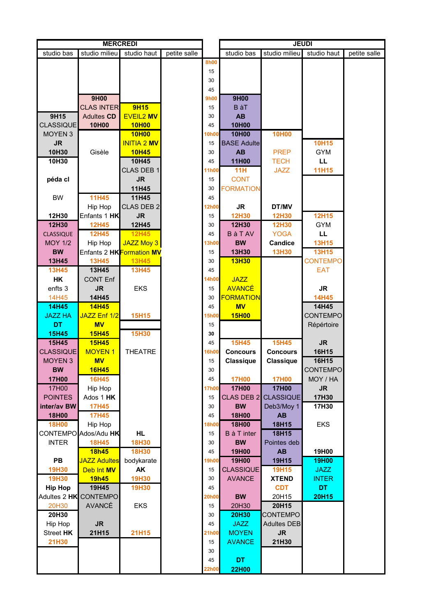| <b>MERCREDI</b>  |                      |                                                      |              | <b>JEUDI</b> |                    |                    |                 |              |
|------------------|----------------------|------------------------------------------------------|--------------|--------------|--------------------|--------------------|-----------------|--------------|
| studio bas       | studio milieu        | studio haut                                          | petite salle |              | studio bas         | studio milieu      | studio haut     | petite salle |
|                  |                      |                                                      |              | <b>8h00</b>  |                    |                    |                 |              |
|                  |                      |                                                      |              | 15           |                    |                    |                 |              |
|                  |                      |                                                      |              |              |                    |                    |                 |              |
|                  |                      |                                                      |              | 30           |                    |                    |                 |              |
|                  |                      |                                                      |              | 45           |                    |                    |                 |              |
|                  | <b>9H00</b>          |                                                      |              | <b>9h00</b>  | 9H00               |                    |                 |              |
|                  | <b>CLAS INTER</b>    | 9H15                                                 |              | 15           | <b>B</b> àT        |                    |                 |              |
| 9H15             | <b>Adultes CD</b>    | <b>EVEIL2 MV</b>                                     |              | 30           | <b>AB</b>          |                    |                 |              |
| <b>CLASSIQUE</b> | 10H00                | <b>10H00</b>                                         |              | 45           | 10H00              |                    |                 |              |
|                  |                      |                                                      |              |              |                    |                    |                 |              |
| <b>MOYEN 3</b>   |                      | <b>10H00</b>                                         |              | <b>10h00</b> | 10H00              | <b>10H00</b>       |                 |              |
| <b>JR</b>        |                      | <b>INITIA 2 MV</b>                                   |              | 15           | <b>BASE Adulte</b> |                    | <b>10H15</b>    |              |
| 10H30            | Gisèle               | <b>10H45</b>                                         |              | 30           | <b>AB</b>          | <b>PREP</b>        | <b>GYM</b>      |              |
| 10H30            |                      | 10H45                                                |              | 45           | 11H00              | <b>TECH</b>        | LL.             |              |
|                  |                      | CLAS DEB 1                                           |              | <b>11h00</b> | 11H                | <b>JAZZ</b>        | <b>11H15</b>    |              |
| péda cl          |                      | <b>JR</b>                                            |              | 15           | <b>CONT</b>        |                    |                 |              |
|                  |                      |                                                      |              | 30           | <b>FORMATION</b>   |                    |                 |              |
|                  |                      | 11H45                                                |              |              |                    |                    |                 |              |
| <b>BW</b>        | <b>11H45</b>         | 11H45                                                |              | 45           |                    |                    |                 |              |
|                  | Hip Hop              | CLAS DEB 2                                           |              | 12h00        | <b>JR</b>          | DT/MV              |                 |              |
| 12H30            | Enfants 1 HK         | <b>JR</b>                                            |              | 15           | <b>12H30</b>       | <b>12H30</b>       | <b>12H15</b>    |              |
| 12H30            | <b>12H45</b>         | 12H45                                                |              | 30           | 12H30              | <b>12H30</b>       | <b>GYM</b>      |              |
| <b>CLASSIQUE</b> | <b>12H45</b>         | <b>12H45</b>                                         |              | 45           | <b>BàTAV</b>       | <b>YOGA</b>        | LL.             |              |
| <b>MOY 1/2</b>   | Hip Hop              | JAZZ Moy 3                                           |              | 13h00        | <b>BW</b>          | <b>Candice</b>     | <b>13H15</b>    |              |
| <b>BW</b>        |                      | Enfants 2 <b>HK<mark>F</mark></b> ormation <b>MV</b> |              | 15           | 13H30              | <b>13H30</b>       | <b>13H15</b>    |              |
| <b>13H45</b>     | <b>13H45</b>         | <b>13H45</b>                                         |              | 30           | <b>13H30</b>       |                    | <b>CONTEMPO</b> |              |
| <b>13H45</b>     | 13H45                | <b>13H45</b>                                         |              | 45           |                    |                    | <b>EAT</b>      |              |
| <b>HK</b>        | <b>CONT Enf</b>      |                                                      |              | 14h00        | <b>JAZZ</b>        |                    |                 |              |
| enfts 3          | <b>JR</b>            | <b>EKS</b>                                           |              | 15           | <b>AVANCÉ</b>      |                    | <b>JR</b>       |              |
|                  |                      |                                                      |              |              |                    |                    |                 |              |
| 14H45            | 14H45                |                                                      |              | 30           | <b>FORMATION</b>   |                    | <b>14H45</b>    |              |
| <b>14H45</b>     | <b>14H45</b>         |                                                      |              | 45           | <b>MV</b>          |                    | 14H45           |              |
| <b>JAZZ HA</b>   | JAZZ Enf 1/2         | <b>15H15</b>                                         |              | <b>15h00</b> | <b>15H00</b>       |                    | <b>CONTEMPO</b> |              |
| <b>DT</b>        | <b>MV</b>            |                                                      |              | 15           |                    |                    | Répértoire      |              |
| <b>15H45</b>     | <b>15H45</b>         | 15H30                                                |              | 30           |                    |                    |                 |              |
| 15H45            | <b>15H45</b>         |                                                      |              | 45           | <b>15H45</b>       | <b>15H45</b>       | <b>JR</b>       |              |
| <b>CLASSIQUE</b> | <b>MOYEN1</b>        | <b>THEATRE</b>                                       |              | <b>16h00</b> | <b>Concours</b>    | <b>Concours</b>    | 16H15           |              |
| <b>MOYEN 3</b>   | <b>MV</b>            |                                                      |              | 15           | <b>Classique</b>   | <b>Classique</b>   | 16H15           |              |
| <b>BW</b>        | <b>16H45</b>         |                                                      |              | 30           |                    |                    | <b>CONTEMPO</b> |              |
| <b>17H00</b>     | <b>16H45</b>         |                                                      |              | 45           | <b>17H00</b>       | <b>17H00</b>       | MOY / HA        |              |
| 17H00            | Hip Hop              |                                                      |              | <b>17h00</b> | <b>17H00</b>       | <b>17H00</b>       | <b>JR</b>       |              |
| <b>POINTES</b>   | Ados 1 HK            |                                                      |              | 15           | <b>CLAS DEB 2</b>  | <b>CLASSIQUE</b>   | 17H30           |              |
|                  |                      |                                                      |              |              |                    |                    |                 |              |
| inter/av BW      | <b>17H45</b>         |                                                      |              | 30           | <b>BW</b>          | Deb3/Moy 1         | 17H30           |              |
| <b>18H00</b>     | <b>17H45</b>         |                                                      |              | 45           | <b>18H00</b>       | <b>AB</b>          |                 |              |
| <b>18H00</b>     | Hip Hop              |                                                      |              | <b>18h00</b> | <b>18H00</b>       | 18H15              | <b>EKS</b>      |              |
|                  | CONTEMPO Ados/Adu HK | HL.                                                  |              | 15           | <b>B</b> à T inter | 18H15              |                 |              |
| <b>INTER</b>     | <b>18H45</b>         | <b>18H30</b>                                         |              | 30           | <b>BW</b>          | Pointes deb        |                 |              |
|                  | <b>18h45</b>         | <b>18H30</b>                                         |              | 45           | <b>19H00</b>       | <b>AB</b>          | 19H00           |              |
| PB               | <b>JAZZ Adultes</b>  | bodykarate                                           |              | <b>19h00</b> | <b>19H00</b>       | 19H15              | <b>19H00</b>    |              |
| <b>19H30</b>     | Deb Int MV           | AK                                                   |              | 15           | <b>CLASSIQUE</b>   | <b>19H15</b>       | <b>JAZZ</b>     |              |
| <b>19H30</b>     | 19h45                | <b>19H30</b>                                         |              | 30           | <b>AVANCE</b>      | <b>XTEND</b>       | <b>INTER</b>    |              |
| <b>Hip Hop</b>   | 19H45                | <b>19H30</b>                                         |              | 45           |                    | <b>CDT</b>         | <b>DT</b>       |              |
| Adultes 2 HK     | <b>CONTEMPO</b>      |                                                      |              | 20h00        | <b>BW</b>          | 20H15              | 20H15           |              |
|                  | <b>AVANCÉ</b>        |                                                      |              |              |                    |                    |                 |              |
| 20H30            |                      | <b>EKS</b>                                           |              | 15           | 20H30              | 20H15              |                 |              |
| 20H30            |                      |                                                      |              | 30           | <b>20H30</b>       | <b>CONTEMPO</b>    |                 |              |
| Hip Hop          | <b>JR</b>            |                                                      |              | 45           | <b>JAZZ</b>        | <b>Adultes DEB</b> |                 |              |
| Street HK        | 21H15                | <b>21H15</b>                                         |              | 21h00        | <b>MOYEN</b>       | <b>JR</b>          |                 |              |
| <b>21H30</b>     |                      |                                                      |              | 15           | <b>AVANCE</b>      | 21H30              |                 |              |
|                  |                      |                                                      |              | 30           |                    |                    |                 |              |
|                  |                      |                                                      |              | 45           | DT                 |                    |                 |              |
|                  |                      |                                                      |              | 22h00        | <b>22H00</b>       |                    |                 |              |